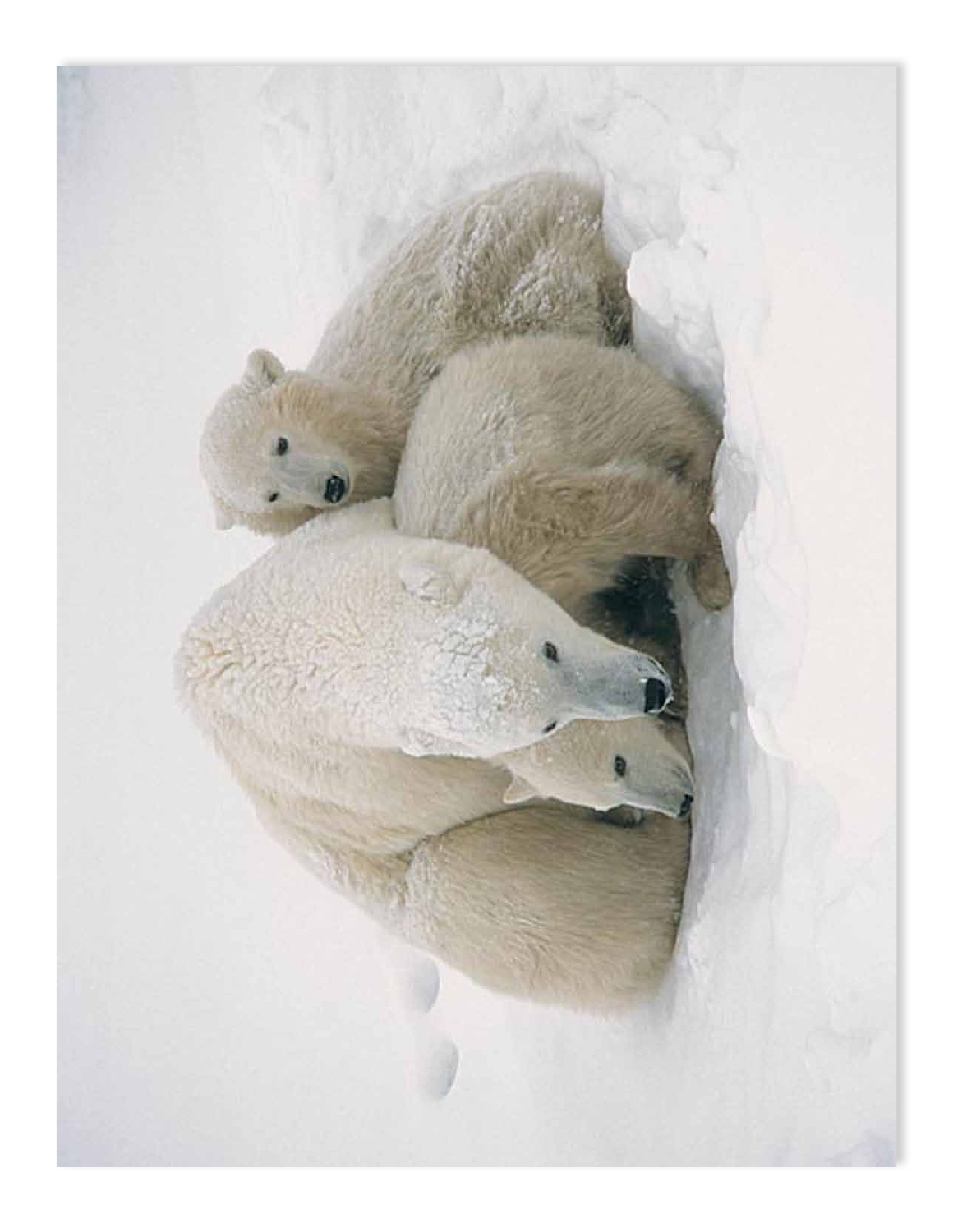